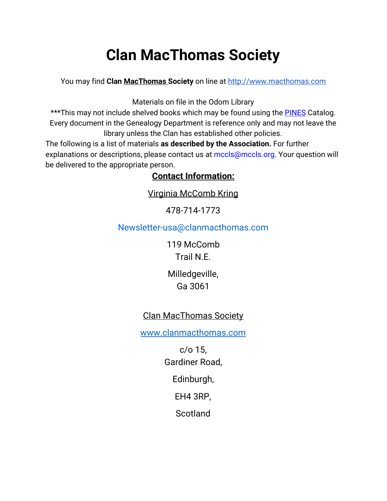# **Clan MacThomas Society**

You may find **Clan MacThomas Society** on line at [http://www.macthomas.com](http://www.macthomas.com/)

Materials on file in the Odom Library

\*\*\*This may not include shelved books which may be found using the **[PINES](http://gapines.org/opac/en-US/skin/default/xml/index.xml)** Catalog. Every document in the Genealogy Department is reference only and may not leave the library unless the Clan has established other policies.

The following is a list of materials **as described by the Association.** For further explanations or descriptions, please contact us at mccls@mccls.org. Your question will be delivered to the appropriate person.

## **Contact Information:**

Virginia McComb Kring

478-714-1773

Newsletter-usa@clanmacthomas.com

119 McComb Trail N.E.

Milledgeville, Ga 3061

# Clan MacThomas Society

[www.clanmacthomas.com](http://www.clanmacthomas.com/)

c/o 15, Gardiner Road,

Edinburgh,

EH4 3RP,

**Scotland**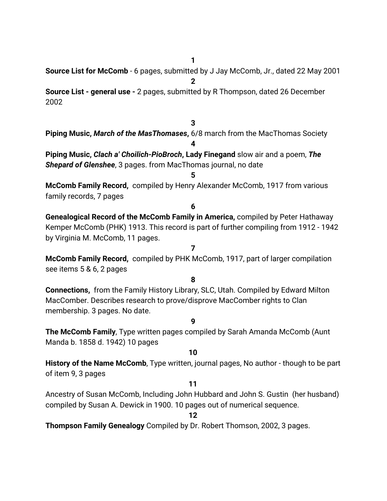**1**

**Source List for McComb** - 6 pages, submitted by J Jay McComb, Jr., dated 22 May 2001 **2**

**Source List - general use -** 2 pages, submitted by R Thompson, dated 26 December 2002

### **3**

**Piping Music,** *March of the MasThomases***,** 6/8 march from the MacThomas Society **4**

**Piping Music,** *Clach a' Choilich-PioBroch***, Lady Finegand** slow air and a poem, *The Shepard of Glenshee*, 3 pages. from MacThomas journal, no date

#### **5**

**McComb Family Record,**  compiled by Henry Alexander McComb, 1917 from various family records, 7 pages

#### **6**

**Genealogical Record of the McComb Family in America,** compiled by Peter Hathaway Kemper McComb (PHK) 1913. This record is part of further compiling from 1912 - 1942 by Virginia M. McComb, 11 pages.

#### **7**

**McComb Family Record,**  compiled by PHK McComb, 1917, part of larger compilation see items 5 & 6, 2 pages

#### **8**

**Connections,**  from the Family History Library, SLC, Utah. Compiled by Edward Milton MacComber. Describes research to prove/disprove MacComber rights to Clan membership. 3 pages. No date.

#### **9**

**The McComb Family**, Type written pages compiled by Sarah Amanda McComb (Aunt Manda b. 1858 d. 1942) 10 pages

#### **10**

**History of the Name McComb**, Type written, journal pages, No author - though to be part of item 9, 3 pages

#### **11**

Ancestry of Susan McComb, Including John Hubbard and John S. Gustin (her husband) compiled by Susan A. Dewick in 1900. 10 pages out of numerical sequence.

#### **12**

**Thompson Family Genealogy** Compiled by Dr. Robert Thomson, 2002, 3 pages.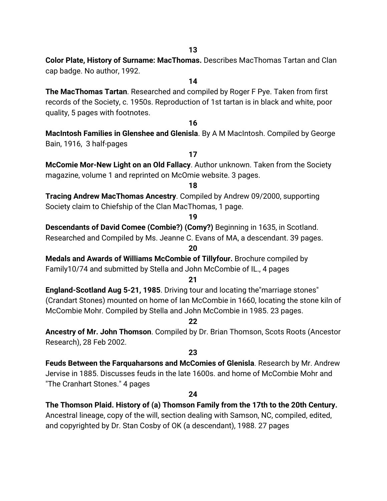**13**

**Color Plate, History of Surname: MacThomas.** Describes MacThomas Tartan and Clan cap badge. No author, 1992.

**14**

**The MacThomas Tartan**. Researched and compiled by Roger F Pye. Taken from first records of the Society, c. 1950s. Reproduction of 1st tartan is in black and white, poor quality, 5 pages with footnotes.

#### **16**

**MacIntosh Families in Glenshee and Glenisla**. By A M MacIntosh. Compiled by George Bain, 1916, 3 half-pages

**17**

**McComie Mor-New Light on an Old Fallacy**. Author unknown. Taken from the Society magazine, volume 1 and reprinted on McOmie website. 3 pages.

**18**

**Tracing Andrew MacThomas Ancestry**. Compiled by Andrew 09/2000, supporting Society claim to Chiefship of the Clan MacThomas, 1 page.

#### **19**

**20**

**Descendants of David Comee (Combie?) (Comy?)** Beginning in 1635, in Scotland. Researched and Compiled by Ms. Jeanne C. Evans of MA, a descendant. 39 pages.

**Medals and Awards of Williams McCombie of Tillyfour.** Brochure compiled by Family10/74 and submitted by Stella and John McCombie of IL., 4 pages

#### **21**

**England-Scotland Aug 5-21, 1985**. Driving tour and locating the"marriage stones" (Crandart Stones) mounted on home of Ian McCombie in 1660, locating the stone kiln of McCombie Mohr. Compiled by Stella and John McCombie in 1985. 23 pages.

**22**

**Ancestry of Mr. John Thomson**. Compiled by Dr. Brian Thomson, Scots Roots (Ancestor Research), 28 Feb 2002.

#### **23**

**Feuds Between the Farquaharsons and McComies of Glenisla**. Research by Mr. Andrew Jervise in 1885. Discusses feuds in the late 1600s. and home of McCombie Mohr and "The Cranhart Stones." 4 pages

#### **24**

**The Thomson Plaid. History of (a) Thomson Family from the 17th to the 20th Century.** Ancestral lineage, copy of the will, section dealing with Samson, NC, compiled, edited,

and copyrighted by Dr. Stan Cosby of OK (a descendant), 1988. 27 pages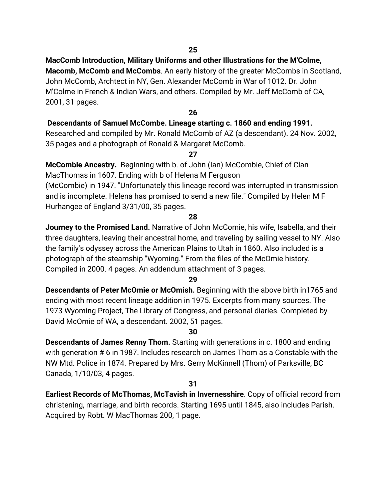#### **MacComb Introduction, Military Uniforms and other Illustrations for the M'Colme,**

**Macomb, McComb and McCombs**. An early history of the greater McCombs in Scotland, John McComb, Archtect in NY, Gen. Alexander McComb in War of 1012. Dr. John M'Colme in French & Indian Wars, and others. Compiled by Mr. Jeff McComb of CA, 2001, 31 pages.

#### **26**

#### **Descendants of Samuel McCombe. Lineage starting c. 1860 and ending 1991.**

Researched and compiled by Mr. Ronald McComb of AZ (a descendant). 24 Nov. 2002, 35 pages and a photograph of Ronald & Margaret McComb.

**27**

**McCombie Ancestry.**  Beginning with b. of John (Ian) McCombie, Chief of Clan MacThomas in 1607. Ending with b of Helena M Ferguson

(McCombie) in 1947. "Unfortunately this lineage record was interrupted in transmission and is incomplete. Helena has promised to send a new file." Compiled by Helen M F Hurhangee of England 3/31/00, 35 pages.

#### **28**

**Journey to the Promised Land.** Narrative of John McComie, his wife, Isabella, and their three daughters, leaving their ancestral home, and traveling by sailing vessel to NY. Also the family's odyssey across the American Plains to Utah in 1860. Also included is a photograph of the steamship "Wyoming." From the files of the McOmie history. Compiled in 2000. 4 pages. An addendum attachment of 3 pages.

#### **29**

**Descendants of Peter McOmie or McOmish.** Beginning with the above birth in1765 and ending with most recent lineage addition in 1975. Excerpts from many sources. The 1973 Wyoming Project, The Library of Congress, and personal diaries. Completed by David McOmie of WA, a descendant. 2002, 51 pages.

#### **30**

**Descendants of James Renny Thom.** Starting with generations in c. 1800 and ending with generation # 6 in 1987. Includes research on James Thom as a Constable with the NW Mtd. Police in 1874. Prepared by Mrs. Gerry McKinnell (Thom) of Parksville, BC Canada, 1/10/03, 4 pages.

#### **31**

**Earliest Records of McThomas, McTavish in Invernesshire**. Copy of official record from christening, marriage, and birth records. Starting 1695 until 1845, also includes Parish. Acquired by Robt. W MacThomas 200, 1 page.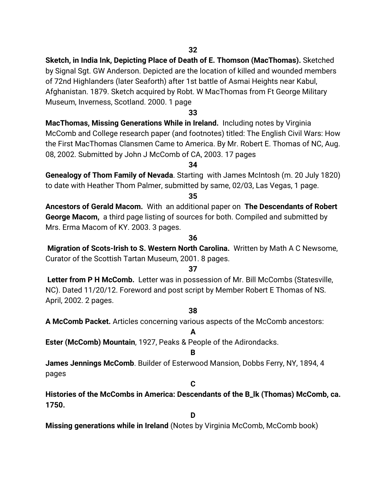**Sketch, in India Ink, Depicting Place of Death of E. Thomson (MacThomas).** Sketched by Signal Sgt. GW Anderson. Depicted are the location of killed and wounded members of 72nd Highlanders (later Seaforth) after 1st battle of Asmai Heights near Kabul, Afghanistan. 1879. Sketch acquired by Robt. W MacThomas from Ft George Military Museum, Inverness, Scotland. 2000. 1 page

#### **33**

**MacThomas, Missing Generations While in Ireland.**  Including notes by Virginia McComb and College research paper (and footnotes) titled: The English Civil Wars: How the First MacThomas Clansmen Came to America. By Mr. Robert E. Thomas of NC, Aug. 08, 2002. Submitted by John J McComb of CA, 2003. 17 pages

#### **34**

**Genealogy of Thom Family of Nevada**. Starting with James McIntosh (m. 20 July 1820) to date with Heather Thom Palmer, submitted by same, 02/03, Las Vegas, 1 page.

**35**

**Ancestors of Gerald Macom.** With an additional paper on  **The Descendants of Robert George Macom,**  a third page listing of sources for both. Compiled and submitted by Mrs. Erma Macom of KY. 2003. 3 pages.

#### **36**

 **Migration of Scots-Irish to S. Western North Carolina.**  Written by Math A C Newsome, Curator of the Scottish Tartan Museum, 2001. 8 pages.

#### **37**

 **Letter from P H McComb.**  Letter was in possession of Mr. Bill McCombs (Statesville, NC). Dated 11/20/12. Foreword and post script by Member Robert E Thomas of NS. April, 2002. 2 pages.

#### **38**

**A McComb Packet.** Articles concerning various aspects of the McComb ancestors:

**A**

**Ester (McComb) Mountain**, 1927, Peaks & People of the Adirondacks.

#### **B**

**James Jennings McComb**. Builder of Esterwood Mansion, Dobbs Ferry, NY, 1894, 4 pages

#### **C**

**Histories of the McCombs in America: Descendants of the B\_lk (Thomas) McComb, ca. 1750.**

**D**

**Missing generations while in Ireland** (Notes by Virginia McComb, McComb book)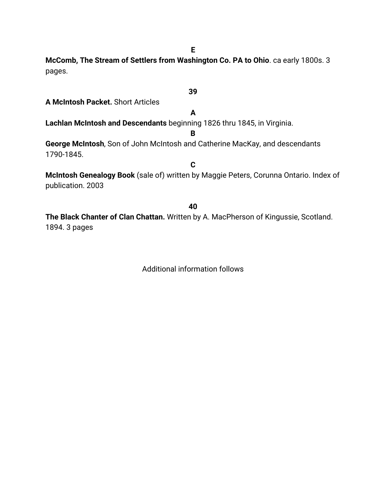**E**

**McComb, The Stream of Settlers from Washington Co. PA to Ohio**. ca early 1800s. 3 pages.

**39 A McIntosh Packet.** Short Articles **A Lachlan McIntosh and Descendants** beginning 1826 thru 1845, in Virginia. **B George McIntosh**, Son of John McIntosh and Catherine MacKay, and descendants 1790-1845. **C McIntosh Genealogy Book** (sale of) written by Maggie Peters, Corunna Ontario. Index of publication. 2003 **40 The Black Chanter of Clan Chattan.** Written by A. MacPherson of Kingussie, Scotland. 1894. 3 pages

Additional information follows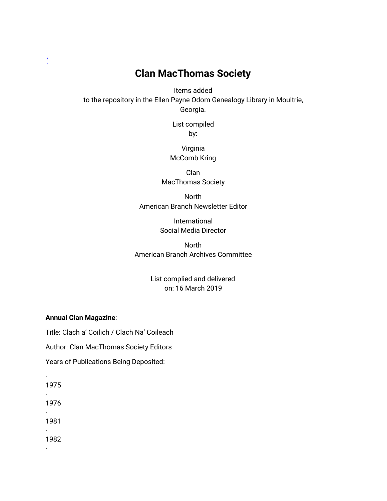# **Clan MacThomas Society**

Items added to the repository in the Ellen Payne Odom Genealogy Library in Moultrie, Georgia.

> List compiled by:

Virginia McComb Kring

Clan MacThomas Society

North American Branch Newsletter Editor

> International Social Media Director

**North** American Branch Archives Committee

> List complied and delivered on: 16 March 2019

#### **Annual Clan Magazine**:

Title: Clach a' Coilich / Clach Na' Coileach

Author: Clan MacThomas Society Editors

Years of Publications Being Deposited:

1975 ·

·

['](https://www.mccls.org/wp-content/uploads/odom_gen.htm)

1976

· 1981

· 1982

·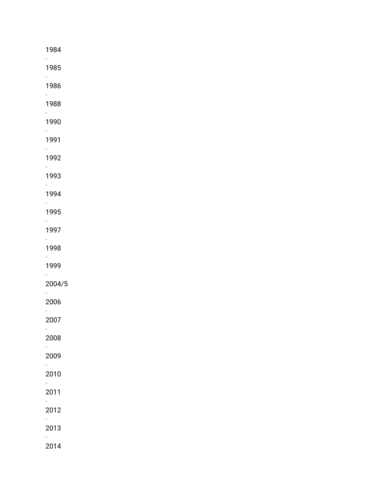| 1984<br>$\mathcal{L}^{\text{max}}$   |  |  |  |
|--------------------------------------|--|--|--|
| 1985<br>$\mathcal{L}_{\mathcal{A}}$  |  |  |  |
| 1986<br>$\epsilon_{\rm{max}}$        |  |  |  |
| 1988<br>$\mathcal{L}_{\text{max}}$   |  |  |  |
| 1990<br>$\mathcal{L}^{\text{max}}$   |  |  |  |
| 1991<br>$\mathcal{L}_{\rm{max}}$     |  |  |  |
| 1992<br>$\mathcal{L}_{\rm{max}}$     |  |  |  |
| 1993<br>$\mathcal{L}_{\text{max}}$   |  |  |  |
| 1994<br>$\mathcal{L}^{\text{max}}$   |  |  |  |
| 1995<br>$\mathcal{L}_{\mathcal{A}}$  |  |  |  |
| 1997<br>$\mathcal{L}_{\rm{max}}$     |  |  |  |
| 1998<br>$\mathcal{L}^{\text{max}}$   |  |  |  |
| 1999<br>$\mathcal{L}_{\text{max}}$   |  |  |  |
| 2004/5<br>$\mathcal{L}^{\text{max}}$ |  |  |  |
| 2006<br>$\mathcal{L}_{\mathcal{A}}$  |  |  |  |
| 2007<br>$\epsilon$                   |  |  |  |
| 2008<br>$\ddot{\phantom{0}}$         |  |  |  |
| 2009<br>$\epsilon_{\rm{max}}$        |  |  |  |
| 2010<br>$\epsilon$                   |  |  |  |
| 2011<br>$\mathcal{L}^{\text{max}}$   |  |  |  |
| 2012<br>$\mathcal{L}_{\text{max}}$   |  |  |  |
| 2013<br>$\mathcal{L}_{\mathcal{A}}$  |  |  |  |
| 2014                                 |  |  |  |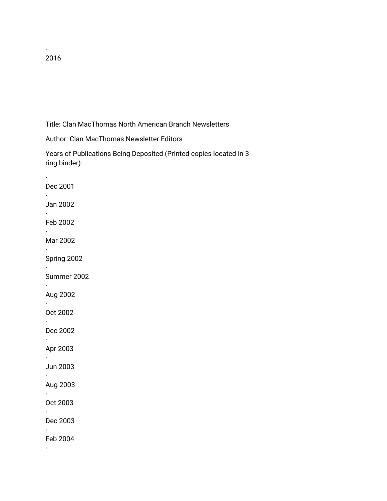· 2016

·

·

·

·

·

·

·

·

·

·

·

·

·

·

·

·

Title: Clan MacThomas North American Branch Newsletters

Author: Clan MacThomas Newsletter Editors

Years of Publications Being Deposited (Printed copies located in 3 ring binder):

Dec 2001 Jan 2002 Feb 2002 Mar 2002 Spring 2002 Summer 2002 Aug 2002 Oct 2002 Dec 2002 Apr 2003 Jun 2003 Aug 2003 Oct 2003 Dec 2003 Feb 2004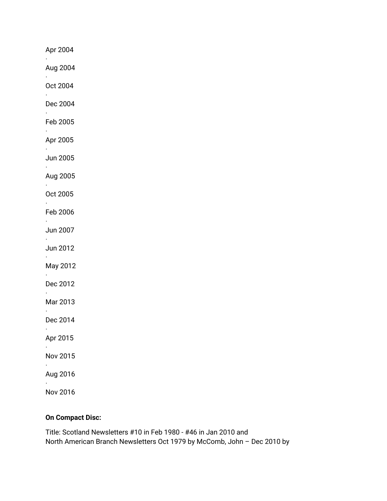Apr 2004 · Aug 2004 · Oct 2004 · Dec 2004 · Feb 2005 · Apr 2005 · Jun 2005 · Aug 2005 · Oct 2005 · Feb 2006 · Jun 2007 · Jun 2012 · May 2012 · Dec 2012 · Mar 2013 · Dec 2014 · Apr 2015 · Nov 2015 · Aug 2016 · Nov 2016

#### **On Compact Disc:**

Title: Scotland Newsletters #10 in Feb 1980 - #46 in Jan 2010 and North American Branch Newsletters Oct 1979 by McComb, John – Dec 2010 by